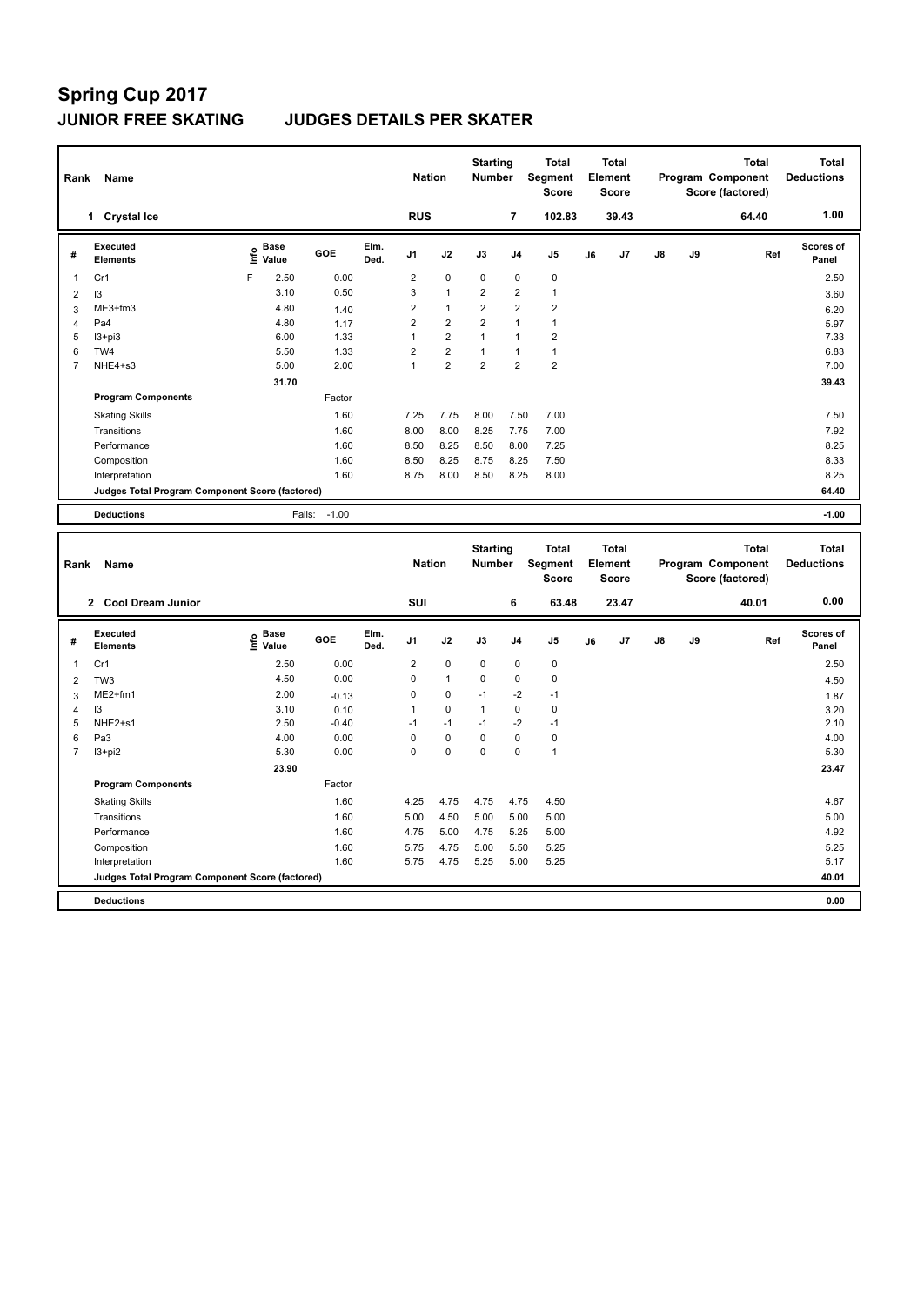| Rank           | Name                                            |    |               |         |              | <b>Nation</b>  |                         | <b>Starting</b><br><b>Number</b> |                | <b>Total</b><br>Segment<br><b>Score</b> |    | <b>Total</b><br>Element<br><b>Score</b> |               |    | <b>Total</b><br>Program Component<br>Score (factored) | <b>Total</b><br><b>Deductions</b> |
|----------------|-------------------------------------------------|----|---------------|---------|--------------|----------------|-------------------------|----------------------------------|----------------|-----------------------------------------|----|-----------------------------------------|---------------|----|-------------------------------------------------------|-----------------------------------|
|                | <b>Crystal Ice</b><br>1                         |    |               |         |              | <b>RUS</b>     |                         |                                  | 7              | 102.83                                  |    | 39.43                                   |               |    | 64.40                                                 | 1.00                              |
| #              | <b>Executed</b><br><b>Elements</b>              | ۴۵ | Base<br>Value | GOE     | Elm.<br>Ded. | J <sub>1</sub> | J2                      | J3                               | J <sub>4</sub> | J5                                      | J6 | J <sub>7</sub>                          | $\mathsf{J}8$ | J9 | Ref                                                   | Scores of<br>Panel                |
| 1              | Cr1                                             | F  | 2.50          | 0.00    |              | $\overline{2}$ | $\mathbf 0$             | $\mathbf 0$                      | $\mathbf 0$    | $\pmb{0}$                               |    |                                         |               |    |                                                       | 2.50                              |
| $\overline{2}$ | 13                                              |    | 3.10          | 0.50    |              | 3              | $\overline{1}$          | $\overline{2}$                   | $\overline{2}$ | $\mathbf{1}$                            |    |                                         |               |    |                                                       | 3.60                              |
| 3              | ME3+fm3                                         |    | 4.80          | 1.40    |              | $\overline{2}$ | $\mathbf{1}$            | $\overline{2}$                   | $\overline{2}$ | $\overline{2}$                          |    |                                         |               |    |                                                       | 6.20                              |
| 4              | Pa4                                             |    | 4.80          | 1.17    |              | $\overline{2}$ | $\overline{2}$          | $\overline{2}$                   | 1              | $\mathbf{1}$                            |    |                                         |               |    |                                                       | 5.97                              |
| 5              | $13 + pi3$                                      |    | 6.00          | 1.33    |              | 1              | $\overline{\mathbf{c}}$ | 1                                | $\overline{1}$ | $\overline{2}$                          |    |                                         |               |    |                                                       | 7.33                              |
| 6              | TW4                                             |    | 5.50          | 1.33    |              | $\overline{2}$ | $\overline{2}$          | 1                                | $\overline{1}$ | $\mathbf{1}$                            |    |                                         |               |    |                                                       | 6.83                              |
| 7              | NHE4+s3                                         |    | 5.00          | 2.00    |              | $\mathbf{1}$   | $\overline{2}$          | $\overline{2}$                   | $\overline{2}$ | $\overline{2}$                          |    |                                         |               |    |                                                       | 7.00                              |
|                |                                                 |    | 31.70         |         |              |                |                         |                                  |                |                                         |    |                                         |               |    |                                                       | 39.43                             |
|                | <b>Program Components</b>                       |    |               | Factor  |              |                |                         |                                  |                |                                         |    |                                         |               |    |                                                       |                                   |
|                | <b>Skating Skills</b>                           |    |               | 1.60    |              | 7.25           | 7.75                    | 8.00                             | 7.50           | 7.00                                    |    |                                         |               |    |                                                       | 7.50                              |
|                | Transitions                                     |    |               | 1.60    |              | 8.00           | 8.00                    | 8.25                             | 7.75           | 7.00                                    |    |                                         |               |    |                                                       | 7.92                              |
|                | Performance                                     |    |               | 1.60    |              | 8.50           | 8.25                    | 8.50                             | 8.00           | 7.25                                    |    |                                         |               |    |                                                       | 8.25                              |
|                | Composition                                     |    |               | 1.60    |              | 8.50           | 8.25                    | 8.75                             | 8.25           | 7.50                                    |    |                                         |               |    |                                                       | 8.33                              |
|                | Interpretation                                  |    |               | 1.60    |              | 8.75           | 8.00                    | 8.50                             | 8.25           | 8.00                                    |    |                                         |               |    |                                                       | 8.25                              |
|                | Judges Total Program Component Score (factored) |    |               |         |              |                |                         |                                  |                |                                         |    |                                         |               |    |                                                       | 64.40                             |
|                | <b>Deductions</b>                               |    | Falls:        | $-1.00$ |              |                |                         |                                  |                |                                         |    |                                         |               |    |                                                       | $-1.00$                           |

| Rank           | Name                                            |                              | <b>Nation</b> |              | <b>Starting</b><br><b>Number</b> |              | <b>Total</b><br>Segment<br><b>Score</b> |                | <b>Total</b><br>Element<br><b>Score</b> |    |       | <b>Total</b><br>Program Component<br>Score (factored) | Total<br><b>Deductions</b> |       |                           |
|----------------|-------------------------------------------------|------------------------------|---------------|--------------|----------------------------------|--------------|-----------------------------------------|----------------|-----------------------------------------|----|-------|-------------------------------------------------------|----------------------------|-------|---------------------------|
|                | 2 Cool Dream Junior                             |                              |               |              | SUI                              |              |                                         | 6              | 63.48                                   |    | 23.47 |                                                       |                            | 40.01 | 0.00                      |
| #              | Executed<br><b>Elements</b>                     | <b>Base</b><br>lnfo<br>Value | GOE           | Elm.<br>Ded. | J <sub>1</sub>                   | J2           | J3                                      | J <sub>4</sub> | J5                                      | J6 | J7    | $\mathsf{J}8$                                         | J9                         | Ref   | <b>Scores of</b><br>Panel |
| 1              | Cr1                                             | 2.50                         | 0.00          |              | 2                                | $\mathbf 0$  | $\mathbf 0$                             | $\mathbf 0$    | $\mathbf 0$                             |    |       |                                                       |                            |       | 2.50                      |
| $\overline{2}$ | TW <sub>3</sub>                                 | 4.50                         | 0.00          |              | 0                                | $\mathbf{1}$ | $\mathbf 0$                             | $\mathbf 0$    | $\pmb{0}$                               |    |       |                                                       |                            |       | 4.50                      |
| 3              | $ME2+fm1$                                       | 2.00                         | $-0.13$       |              | 0                                | 0            | $-1$                                    | $-2$           | $-1$                                    |    |       |                                                       |                            |       | 1.87                      |
| 4              | 13                                              | 3.10                         | 0.10          |              |                                  | $\mathbf 0$  | $\overline{1}$                          | $\mathbf 0$    | $\pmb{0}$                               |    |       |                                                       |                            |       | 3.20                      |
| 5              | NHE2+s1                                         | 2.50                         | $-0.40$       |              | $-1$                             | $-1$         | $-1$                                    | $-2$           | $-1$                                    |    |       |                                                       |                            |       | 2.10                      |
| 6              | Pa <sub>3</sub>                                 | 4.00                         | 0.00          |              | 0                                | $\mathbf 0$  | 0                                       | $\mathbf 0$    | 0                                       |    |       |                                                       |                            |       | 4.00                      |
| $\overline{7}$ | $13 + pi2$                                      | 5.30                         | 0.00          |              | 0                                | $\mathbf 0$  | $\mathbf 0$                             | $\mathbf 0$    | $\mathbf{1}$                            |    |       |                                                       |                            |       | 5.30                      |
|                |                                                 | 23.90                        |               |              |                                  |              |                                         |                |                                         |    |       |                                                       |                            |       | 23.47                     |
|                | <b>Program Components</b>                       |                              | Factor        |              |                                  |              |                                         |                |                                         |    |       |                                                       |                            |       |                           |
|                | <b>Skating Skills</b>                           |                              | 1.60          |              | 4.25                             | 4.75         | 4.75                                    | 4.75           | 4.50                                    |    |       |                                                       |                            |       | 4.67                      |
|                | Transitions                                     |                              | 1.60          |              | 5.00                             | 4.50         | 5.00                                    | 5.00           | 5.00                                    |    |       |                                                       |                            |       | 5.00                      |
|                | Performance                                     |                              | 1.60          |              | 4.75                             | 5.00         | 4.75                                    | 5.25           | 5.00                                    |    |       |                                                       |                            |       | 4.92                      |
|                | Composition                                     |                              | 1.60          |              | 5.75                             | 4.75         | 5.00                                    | 5.50           | 5.25                                    |    |       |                                                       |                            |       | 5.25                      |
|                | Interpretation                                  |                              | 1.60          |              | 5.75                             | 4.75         | 5.25                                    | 5.00           | 5.25                                    |    |       |                                                       |                            |       | 5.17                      |
|                | Judges Total Program Component Score (factored) |                              |               |              |                                  |              |                                         |                |                                         |    |       |                                                       |                            |       | 40.01                     |
|                | <b>Deductions</b>                               |                              |               |              |                                  |              |                                         |                |                                         |    |       |                                                       |                            |       | 0.00                      |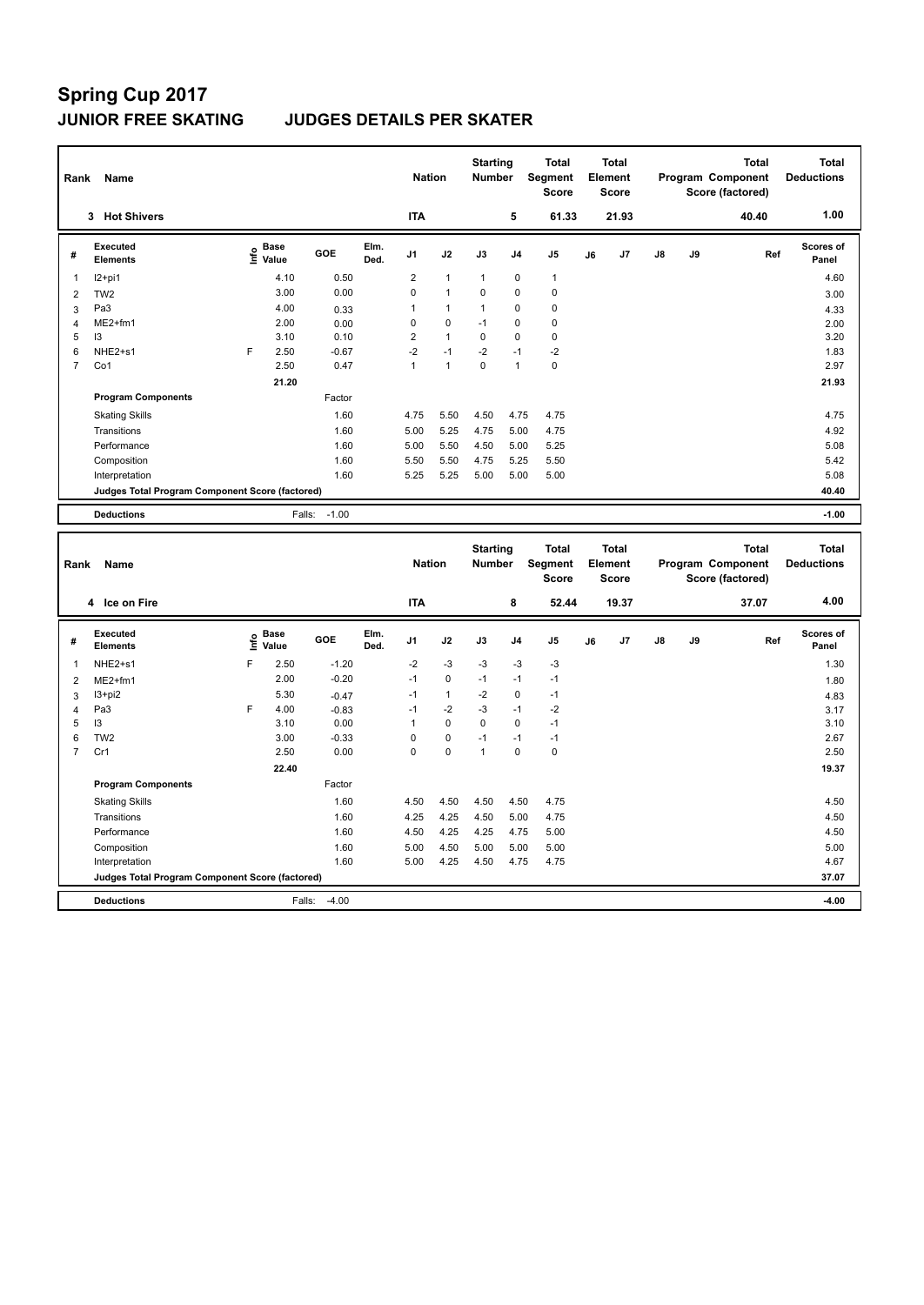| Rank           | Name                                            |      | <b>Nation</b>        |                   | <b>Starting</b><br><b>Number</b> |                | <b>Total</b><br>Segment<br><b>Score</b> |                | <b>Total</b><br>Element<br>Score |              |    | <b>Total</b><br>Program Component<br>Score (factored) | <b>Total</b><br><b>Deductions</b> |    |       |                    |
|----------------|-------------------------------------------------|------|----------------------|-------------------|----------------------------------|----------------|-----------------------------------------|----------------|----------------------------------|--------------|----|-------------------------------------------------------|-----------------------------------|----|-------|--------------------|
|                | <b>Hot Shivers</b><br>3                         |      |                      |                   |                                  | <b>ITA</b>     |                                         |                | 5                                | 61.33        |    | 21.93                                                 |                                   |    | 40.40 | 1.00               |
| #              | Executed<br><b>Elements</b>                     | ١nf٥ | <b>Base</b><br>Value | GOE               | Elm.<br>Ded.                     | J <sub>1</sub> | J2                                      | J3             | J <sub>4</sub>                   | J5           | J6 | J7                                                    | $\mathsf{J}8$                     | J9 | Ref   | Scores of<br>Panel |
| 1              | $12+pi1$                                        |      | 4.10                 | 0.50              |                                  | $\overline{2}$ | $\mathbf{1}$                            | $\overline{1}$ | $\Omega$                         | $\mathbf{1}$ |    |                                                       |                                   |    |       | 4.60               |
| 2              | TW <sub>2</sub>                                 |      | 3.00                 | 0.00              |                                  | $\mathbf 0$    | $\overline{1}$                          | $\Omega$       | $\Omega$                         | 0            |    |                                                       |                                   |    |       | 3.00               |
| 3              | Pa <sub>3</sub>                                 |      | 4.00                 | 0.33              |                                  | $\mathbf{1}$   | $\mathbf{1}$                            | $\mathbf{1}$   | $\Omega$                         | $\mathbf 0$  |    |                                                       |                                   |    |       | 4.33               |
|                | $ME2+fm1$                                       |      | 2.00                 | 0.00              |                                  | 0              | $\mathbf 0$                             | $-1$           | 0                                | 0            |    |                                                       |                                   |    |       | 2.00               |
| 5              | 13                                              |      | 3.10                 | 0.10              |                                  | $\overline{2}$ | $\mathbf{1}$                            | $\Omega$       | $\Omega$                         | 0            |    |                                                       |                                   |    |       | 3.20               |
| 6              | NHE2+s1                                         | F    | 2.50                 | $-0.67$           |                                  | $-2$           | $-1$                                    | $-2$           | $-1$                             | $-2$         |    |                                                       |                                   |    |       | 1.83               |
| $\overline{7}$ | Co1                                             |      | 2.50                 | 0.47              |                                  | $\mathbf{1}$   | $\mathbf{1}$                            | $\Omega$       | 1                                | $\pmb{0}$    |    |                                                       |                                   |    |       | 2.97               |
|                |                                                 |      | 21.20                |                   |                                  |                |                                         |                |                                  |              |    |                                                       |                                   |    |       | 21.93              |
|                | <b>Program Components</b>                       |      |                      | Factor            |                                  |                |                                         |                |                                  |              |    |                                                       |                                   |    |       |                    |
|                | <b>Skating Skills</b>                           |      |                      | 1.60              |                                  | 4.75           | 5.50                                    | 4.50           | 4.75                             | 4.75         |    |                                                       |                                   |    |       | 4.75               |
|                | Transitions                                     |      |                      | 1.60              |                                  | 5.00           | 5.25                                    | 4.75           | 5.00                             | 4.75         |    |                                                       |                                   |    |       | 4.92               |
|                | Performance                                     |      |                      | 1.60              |                                  | 5.00           | 5.50                                    | 4.50           | 5.00                             | 5.25         |    |                                                       |                                   |    |       | 5.08               |
|                | Composition                                     |      |                      | 1.60              |                                  | 5.50           | 5.50                                    | 4.75           | 5.25                             | 5.50         |    |                                                       |                                   |    |       | 5.42               |
|                | Interpretation                                  |      |                      | 1.60              |                                  | 5.25           | 5.25                                    | 5.00           | 5.00                             | 5.00         |    |                                                       |                                   |    |       | 5.08               |
|                | Judges Total Program Component Score (factored) |      |                      |                   |                                  |                |                                         |                |                                  |              |    |                                                       |                                   |    |       | 40.40              |
|                | <b>Deductions</b>                               |      |                      | $-1.00$<br>Falls: |                                  |                |                                         |                |                                  |              |    |                                                       |                                   |    |       | $-1.00$            |

| Rank           | Name                                            |      |                      |         |              | <b>Nation</b>  |              | <b>Starting</b><br><b>Number</b> |                | <b>Total</b><br>Segment<br><b>Score</b> |    | <b>Total</b><br>Element<br><b>Score</b> |               |    | <b>Total</b><br>Program Component<br>Score (factored) | <b>Total</b><br><b>Deductions</b> |
|----------------|-------------------------------------------------|------|----------------------|---------|--------------|----------------|--------------|----------------------------------|----------------|-----------------------------------------|----|-----------------------------------------|---------------|----|-------------------------------------------------------|-----------------------------------|
|                | 4 Ice on Fire                                   |      |                      |         |              | <b>ITA</b>     |              |                                  | 8              | 52.44                                   |    | 19.37                                   |               |    | 37.07                                                 | 4.00                              |
| #              | Executed<br><b>Elements</b>                     | ١nf٥ | <b>Base</b><br>Value | GOE     | Elm.<br>Ded. | J <sub>1</sub> | J2           | J3                               | J <sub>4</sub> | J <sub>5</sub>                          | J6 | J7                                      | $\mathsf{J}8$ | J9 | Ref                                                   | <b>Scores of</b><br>Panel         |
| 1              | NHE2+s1                                         | F    | 2.50                 | $-1.20$ |              | $-2$           | $-3$         | $-3$                             | $-3$           | $-3$                                    |    |                                         |               |    |                                                       | 1.30                              |
| $\overline{2}$ | $ME2+fm1$                                       |      | 2.00                 | $-0.20$ |              | $-1$           | $\mathbf 0$  | $-1$                             | $-1$           | $-1$                                    |    |                                         |               |    |                                                       | 1.80                              |
| 3              | $13 + pi2$                                      |      | 5.30                 | $-0.47$ |              | $-1$           | $\mathbf{1}$ | $-2$                             | 0              | $-1$                                    |    |                                         |               |    |                                                       | 4.83                              |
| 4              | Pa3                                             | F    | 4.00                 | $-0.83$ |              | $-1$           | $-2$         | $-3$                             | $-1$           | $-2$                                    |    |                                         |               |    |                                                       | 3.17                              |
| 5              | 13                                              |      | 3.10                 | 0.00    |              |                | $\mathbf 0$  | $\Omega$                         | $\mathbf 0$    | $-1$                                    |    |                                         |               |    |                                                       | 3.10                              |
| 6              | TW <sub>2</sub>                                 |      | 3.00                 | $-0.33$ |              | 0              | $\mathbf 0$  | $-1$                             | $-1$           | $-1$                                    |    |                                         |               |    |                                                       | 2.67                              |
| $\overline{7}$ | Cr1                                             |      | 2.50                 | 0.00    |              | 0              | $\mathbf 0$  | $\overline{1}$                   | $\mathbf 0$    | 0                                       |    |                                         |               |    |                                                       | 2.50                              |
|                |                                                 |      | 22.40                |         |              |                |              |                                  |                |                                         |    |                                         |               |    |                                                       | 19.37                             |
|                | <b>Program Components</b>                       |      |                      | Factor  |              |                |              |                                  |                |                                         |    |                                         |               |    |                                                       |                                   |
|                | <b>Skating Skills</b>                           |      |                      | 1.60    |              | 4.50           | 4.50         | 4.50                             | 4.50           | 4.75                                    |    |                                         |               |    |                                                       | 4.50                              |
|                | Transitions                                     |      |                      | 1.60    |              | 4.25           | 4.25         | 4.50                             | 5.00           | 4.75                                    |    |                                         |               |    |                                                       | 4.50                              |
|                | Performance                                     |      |                      | 1.60    |              | 4.50           | 4.25         | 4.25                             | 4.75           | 5.00                                    |    |                                         |               |    |                                                       | 4.50                              |
|                | Composition                                     |      |                      | 1.60    |              | 5.00           | 4.50         | 5.00                             | 5.00           | 5.00                                    |    |                                         |               |    |                                                       | 5.00                              |
|                | Interpretation                                  |      |                      | 1.60    |              | 5.00           | 4.25         | 4.50                             | 4.75           | 4.75                                    |    |                                         |               |    |                                                       | 4.67                              |
|                | Judges Total Program Component Score (factored) |      |                      |         |              |                |              |                                  |                |                                         |    |                                         |               |    |                                                       | 37.07                             |
|                | <b>Deductions</b>                               |      | Falls:               | $-4.00$ |              |                |              |                                  |                |                                         |    |                                         |               |    |                                                       | $-4.00$                           |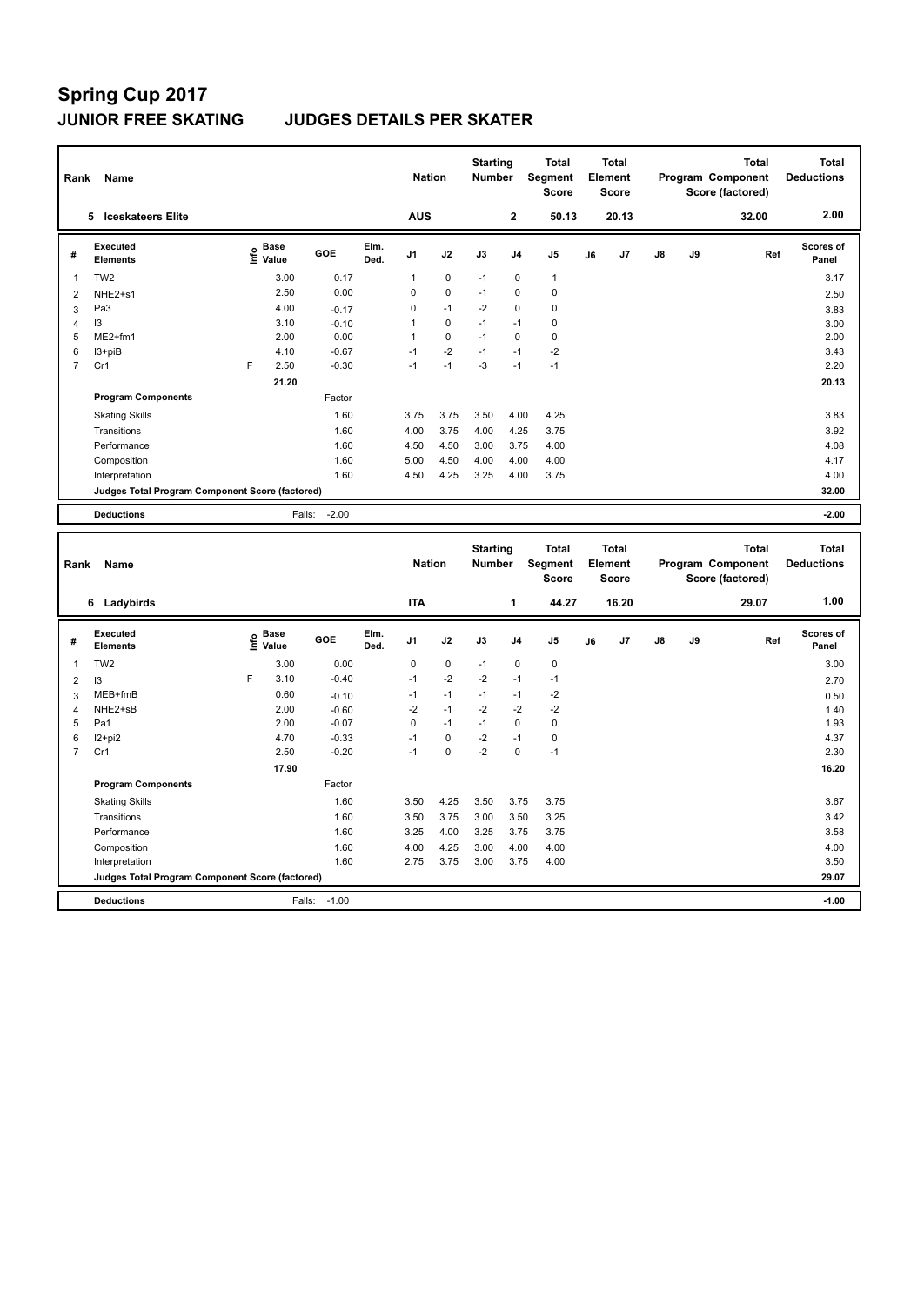| Rank           | Name                                            |   |                      |         |              | <b>Nation</b>  |             | <b>Starting</b><br><b>Number</b> |                | <b>Total</b><br>Segment<br><b>Score</b> |    | Total<br>Element<br>Score |               |    | <b>Total</b><br>Program Component<br>Score (factored) | Total<br><b>Deductions</b> |
|----------------|-------------------------------------------------|---|----------------------|---------|--------------|----------------|-------------|----------------------------------|----------------|-----------------------------------------|----|---------------------------|---------------|----|-------------------------------------------------------|----------------------------|
|                | <b>Iceskateers Elite</b><br>5                   |   |                      |         |              | <b>AUS</b>     |             |                                  | $\mathbf{2}$   | 50.13                                   |    | 20.13                     |               |    | 32.00                                                 | 2.00                       |
| #              | Executed<br><b>Elements</b>                     | e | <b>Base</b><br>Value | GOE     | Elm.<br>Ded. | J <sub>1</sub> | J2          | J3                               | J <sub>4</sub> | J <sub>5</sub>                          | J6 | J <sub>7</sub>            | $\mathsf{J}8$ | J9 | Ref                                                   | Scores of<br>Panel         |
| 1              | TW <sub>2</sub>                                 |   | 3.00                 | 0.17    |              | 1              | $\mathbf 0$ | $-1$                             | $\mathbf 0$    | 1                                       |    |                           |               |    |                                                       | 3.17                       |
| $\overline{2}$ | NHE2+s1                                         |   | 2.50                 | 0.00    |              | 0              | $\mathbf 0$ | $-1$                             | $\mathbf 0$    | $\mathbf 0$                             |    |                           |               |    |                                                       | 2.50                       |
| 3              | Pa <sub>3</sub>                                 |   | 4.00                 | $-0.17$ |              | 0              | $-1$        | $-2$                             | $\Omega$       | $\mathbf 0$                             |    |                           |               |    |                                                       | 3.83                       |
| 4              | 13                                              |   | 3.10                 | $-0.10$ |              | 1              | $\mathbf 0$ | $-1$                             | $-1$           | $\mathbf 0$                             |    |                           |               |    |                                                       | 3.00                       |
| 5              | ME2+fm1                                         |   | 2.00                 | 0.00    |              |                | $\mathbf 0$ | $-1$                             | 0              | 0                                       |    |                           |               |    |                                                       | 2.00                       |
| 6              | I3+piB                                          |   | 4.10                 | $-0.67$ |              | $-1$           | $-2$        | $-1$                             | $-1$           | $-2$                                    |    |                           |               |    |                                                       | 3.43                       |
| $\overline{7}$ | Cr1                                             | F | 2.50                 | $-0.30$ |              | $-1$           | $-1$        | $-3$                             | $-1$           | $-1$                                    |    |                           |               |    |                                                       | 2.20                       |
|                |                                                 |   | 21.20                |         |              |                |             |                                  |                |                                         |    |                           |               |    |                                                       | 20.13                      |
|                | <b>Program Components</b>                       |   |                      | Factor  |              |                |             |                                  |                |                                         |    |                           |               |    |                                                       |                            |
|                | <b>Skating Skills</b>                           |   |                      | 1.60    |              | 3.75           | 3.75        | 3.50                             | 4.00           | 4.25                                    |    |                           |               |    |                                                       | 3.83                       |
|                | Transitions                                     |   |                      | 1.60    |              | 4.00           | 3.75        | 4.00                             | 4.25           | 3.75                                    |    |                           |               |    |                                                       | 3.92                       |
|                | Performance                                     |   |                      | 1.60    |              | 4.50           | 4.50        | 3.00                             | 3.75           | 4.00                                    |    |                           |               |    |                                                       | 4.08                       |
|                | Composition                                     |   |                      | 1.60    |              | 5.00           | 4.50        | 4.00                             | 4.00           | 4.00                                    |    |                           |               |    |                                                       | 4.17                       |
|                | Interpretation                                  |   |                      | 1.60    |              | 4.50           | 4.25        | 3.25                             | 4.00           | 3.75                                    |    |                           |               |    |                                                       | 4.00                       |
|                | Judges Total Program Component Score (factored) |   |                      |         |              |                |             |                                  |                |                                         |    |                           |               |    |                                                       | 32.00                      |
|                | <b>Deductions</b>                               |   | Falls:               | $-2.00$ |              |                |             |                                  |                |                                         |    |                           |               |    |                                                       | $-2.00$                    |

| Rank           | Name                                            |    |                      |         |              | <b>Nation</b>  |             | <b>Starting</b><br><b>Number</b> |                | <b>Total</b><br>Segment<br><b>Score</b> |    | <b>Total</b><br>Element<br>Score |               |    | <b>Total</b><br>Program Component<br>Score (factored) | <b>Total</b><br><b>Deductions</b> |
|----------------|-------------------------------------------------|----|----------------------|---------|--------------|----------------|-------------|----------------------------------|----------------|-----------------------------------------|----|----------------------------------|---------------|----|-------------------------------------------------------|-----------------------------------|
|                | 6 Ladybirds                                     |    |                      |         |              | <b>ITA</b>     |             |                                  | 1              | 44.27                                   |    | 16.20                            |               |    | 29.07                                                 | 1.00                              |
| #              | Executed<br><b>Elements</b>                     | ۴ů | <b>Base</b><br>Value | GOE     | Elm.<br>Ded. | J <sub>1</sub> | J2          | J3                               | J <sub>4</sub> | J <sub>5</sub>                          | J6 | J7                               | $\mathsf{J}8$ | J9 | Ref                                                   | <b>Scores of</b><br>Panel         |
| 1              | TW <sub>2</sub>                                 |    | 3.00                 | 0.00    |              | 0              | $\mathbf 0$ | $-1$                             | $\mathbf 0$    | $\mathbf 0$                             |    |                                  |               |    |                                                       | 3.00                              |
| 2              | 13                                              | F  | 3.10                 | $-0.40$ |              | $-1$           | $-2$        | $-2$                             | $-1$           | $-1$                                    |    |                                  |               |    |                                                       | 2.70                              |
| 3              | MEB+fmB                                         |    | 0.60                 | $-0.10$ |              | $-1$           | $-1$        | $-1$                             | $-1$           | $-2$                                    |    |                                  |               |    |                                                       | 0.50                              |
| $\overline{4}$ | NHE2+sB                                         |    | 2.00                 | $-0.60$ |              | $-2$           | $-1$        | $-2$                             | $-2$           | $-2$                                    |    |                                  |               |    |                                                       | 1.40                              |
| 5              | Pa1                                             |    | 2.00                 | $-0.07$ |              | 0              | $-1$        | $-1$                             | $\Omega$       | $\mathbf 0$                             |    |                                  |               |    |                                                       | 1.93                              |
| 6              | I2+pi2                                          |    | 4.70                 | $-0.33$ |              | $-1$           | $\mathbf 0$ | $-2$                             | $-1$           | 0                                       |    |                                  |               |    |                                                       | 4.37                              |
| $\overline{7}$ | Cr1                                             |    | 2.50                 | $-0.20$ |              | $-1$           | 0           | $-2$                             | $\mathbf 0$    | $-1$                                    |    |                                  |               |    |                                                       | 2.30                              |
|                |                                                 |    | 17.90                |         |              |                |             |                                  |                |                                         |    |                                  |               |    |                                                       | 16.20                             |
|                | <b>Program Components</b>                       |    |                      | Factor  |              |                |             |                                  |                |                                         |    |                                  |               |    |                                                       |                                   |
|                | <b>Skating Skills</b>                           |    |                      | 1.60    |              | 3.50           | 4.25        | 3.50                             | 3.75           | 3.75                                    |    |                                  |               |    |                                                       | 3.67                              |
|                | Transitions                                     |    |                      | 1.60    |              | 3.50           | 3.75        | 3.00                             | 3.50           | 3.25                                    |    |                                  |               |    |                                                       | 3.42                              |
|                | Performance                                     |    |                      | 1.60    |              | 3.25           | 4.00        | 3.25                             | 3.75           | 3.75                                    |    |                                  |               |    |                                                       | 3.58                              |
|                | Composition                                     |    |                      | 1.60    |              | 4.00           | 4.25        | 3.00                             | 4.00           | 4.00                                    |    |                                  |               |    |                                                       | 4.00                              |
|                | Interpretation                                  |    |                      | 1.60    |              | 2.75           | 3.75        | 3.00                             | 3.75           | 4.00                                    |    |                                  |               |    |                                                       | 3.50                              |
|                | Judges Total Program Component Score (factored) |    |                      |         |              |                |             |                                  |                |                                         |    |                                  |               |    |                                                       | 29.07                             |
|                | <b>Deductions</b>                               |    | Falls:               | $-1.00$ |              |                |             |                                  |                |                                         |    |                                  |               |    |                                                       | $-1.00$                           |